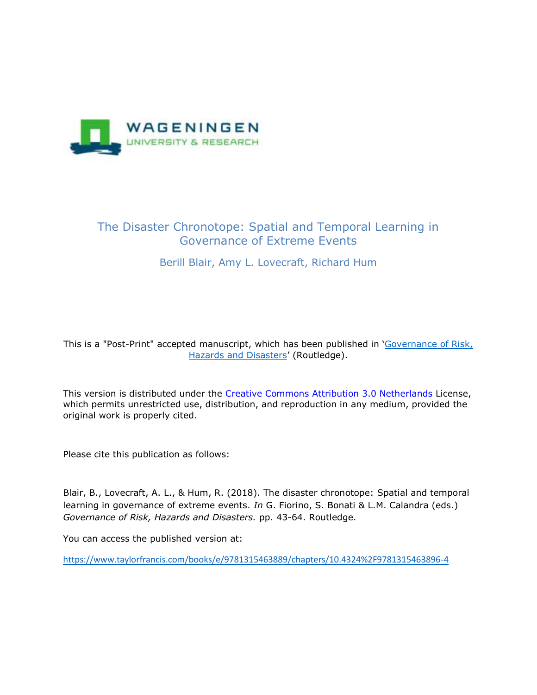

# The Disaster Chronotope: Spatial and Temporal Learning in Governance of Extreme Events

# Berill Blair, Amy L. Lovecraft, Richard Hum

This is a "Post-Print" accepted manuscript, which has been published in '[Governance of Risk,](https://www.routledge.com/Governance-of-Risk-Hazards-and-Disasters-Trends-in-Theory-and-Practice/Forino-Bonati-Calandra/p/book/9781138206823)  [Hazards and Disasters](https://www.routledge.com/Governance-of-Risk-Hazards-and-Disasters-Trends-in-Theory-and-Practice/Forino-Bonati-Calandra/p/book/9781138206823)' (Routledge).

This version is distributed under the Creative Commons Attribution 3.0 Netherlands License, which permits unrestricted use, distribution, and reproduction in any medium, provided the original work is properly cited.

Please cite this publication as follows:

Blair, B., Lovecraft, A. L., & Hum, R. (2018). The disaster chronotope: Spatial and temporal learning in governance of extreme events. *In* G. Fiorino, S. Bonati & L.M. Calandra (eds.) *Governance of Risk, Hazards and Disasters.* pp. 43-64. Routledge.

You can access the published version at:

<https://www.taylorfrancis.com/books/e/9781315463889/chapters/10.4324%2F9781315463896-4>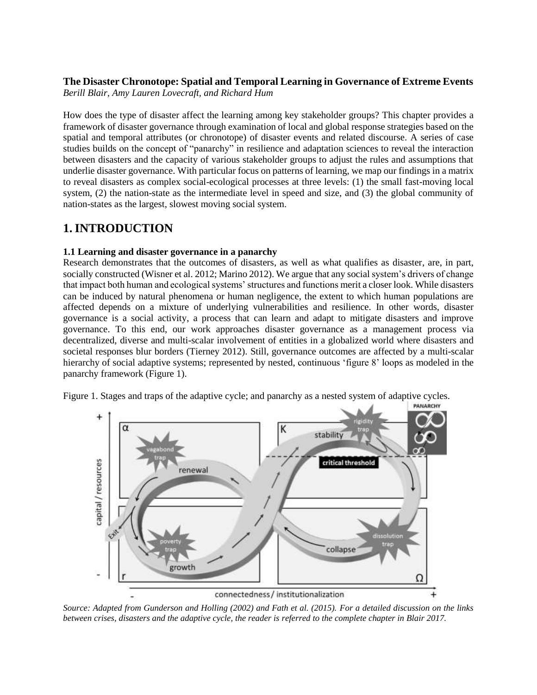# **The Disaster Chronotope: Spatial and Temporal Learning in Governance of Extreme Events**

*Berill Blair, Amy Lauren Lovecraft, and Richard Hum*

How does the type of disaster affect the learning among key stakeholder groups? This chapter provides a framework of disaster governance through examination of local and global response strategies based on the spatial and temporal attributes (or chronotope) of disaster events and related discourse. A series of case studies builds on the concept of "panarchy" in resilience and adaptation sciences to reveal the interaction between disasters and the capacity of various stakeholder groups to adjust the rules and assumptions that underlie disaster governance. With particular focus on patterns of learning, we map our findings in a matrix to reveal disasters as complex social-ecological processes at three levels: (1) the small fast-moving local system, (2) the nation-state as the intermediate level in speed and size, and (3) the global community of nation-states as the largest, slowest moving social system.

# **1.INTRODUCTION**

# **1.1 Learning and disaster governance in a panarchy**

Research demonstrates that the outcomes of disasters, as well as what qualifies as disaster, are, in part, socially constructed (Wisner et al. 2012; Marino 2012). We argue that any social system's drivers of change that impact both human and ecological systems' structures and functions merit a closer look. While disasters can be induced by natural phenomena or human negligence, the extent to which human populations are affected depends on a mixture of underlying vulnerabilities and resilience. In other words, disaster governance is a social activity, a process that can learn and adapt to mitigate disasters and improve governance. To this end, our work approaches disaster governance as a management process via decentralized, diverse and multi-scalar involvement of entities in a globalized world where disasters and societal responses blur borders (Tierney 2012). Still, governance outcomes are affected by a multi-scalar hierarchy of social adaptive systems; represented by nested, continuous 'figure 8' loops as modeled in the panarchy framework (Figure 1).

Figure 1. Stages and traps of the adaptive cycle; and panarchy as a nested system of adaptive cycles.



*Source: Adapted from Gunderson and Holling (2002) and Fath et al. (2015). For a detailed discussion on the links between crises, disasters and the adaptive cycle, the reader is referred to the complete chapter in Blair 2017.*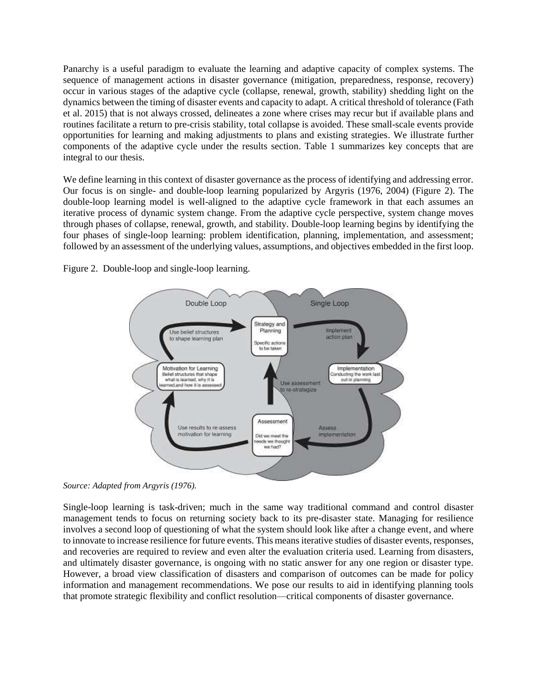Panarchy is a useful paradigm to evaluate the learning and adaptive capacity of complex systems. The sequence of management actions in disaster governance (mitigation, preparedness, response, recovery) occur in various stages of the adaptive cycle (collapse, renewal, growth, stability) shedding light on the dynamics between the timing of disaster events and capacity to adapt. A critical threshold of tolerance (Fath et al. 2015) that is not always crossed, delineates a zone where crises may recur but if available plans and routines facilitate a return to pre-crisis stability, total collapse is avoided. These small-scale events provide opportunities for learning and making adjustments to plans and existing strategies. We illustrate further components of the adaptive cycle under the results section. Table 1 summarizes key concepts that are integral to our thesis.

We define learning in this context of disaster governance as the process of identifying and addressing error. Our focus is on single- and double-loop learning popularized by Argyris (1976, 2004) (Figure 2). The double-loop learning model is well-aligned to the adaptive cycle framework in that each assumes an iterative process of dynamic system change. From the adaptive cycle perspective, system change moves through phases of collapse, renewal, growth, and stability. Double-loop learning begins by identifying the four phases of single-loop learning: problem identification, planning, implementation, and assessment; followed by an assessment of the underlying values, assumptions, and objectives embedded in the first loop.

> Double Loop Single Loop Strategy and Jse belief structures Planning Implem to shape learning plan action plan Specific actions to be taken Motivation for Learning Implementation Belief structures that shape inducting the work laid what is learned, why it is out in planning Use assessment med and how it is ass o re-strategize Assessment Use results to re-assess Annes motivation for learning implementation Did we meet the eds we though we had?

Figure 2. Double-loop and single-loop learning.

*Source: Adapted from Argyris (1976).*

Single-loop learning is task-driven; much in the same way traditional command and control disaster management tends to focus on returning society back to its pre-disaster state. Managing for resilience involves a second loop of questioning of what the system should look like after a change event, and where to innovate to increase resilience for future events. This means iterative studies of disaster events, responses, and recoveries are required to review and even alter the evaluation criteria used. Learning from disasters, and ultimately disaster governance, is ongoing with no static answer for any one region or disaster type. However, a broad view classification of disasters and comparison of outcomes can be made for policy information and management recommendations. We pose our results to aid in identifying planning tools that promote strategic flexibility and conflict resolution—critical components of disaster governance.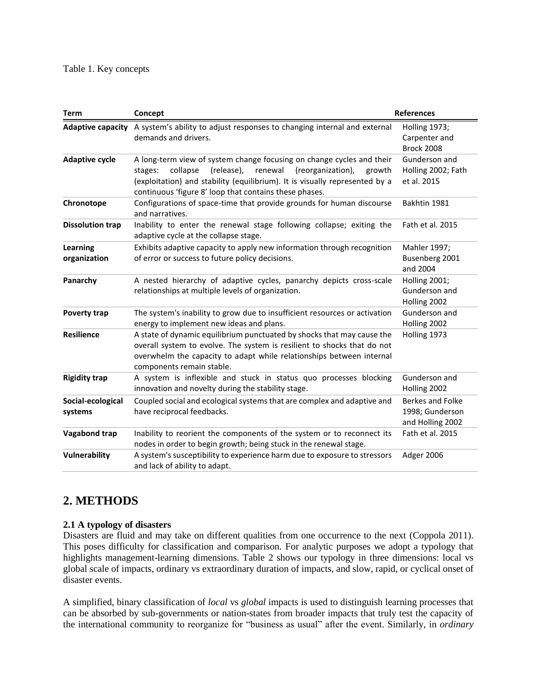| <b>Term</b>                     | Concept                                                                                                                                                                                                                                                                                       | <b>References</b>                                       |  |  |  |
|---------------------------------|-----------------------------------------------------------------------------------------------------------------------------------------------------------------------------------------------------------------------------------------------------------------------------------------------|---------------------------------------------------------|--|--|--|
|                                 | Adaptive capacity A system's ability to adjust responses to changing internal and external<br>demands and drivers.                                                                                                                                                                            | Holling 1973;<br>Carpenter and<br><b>Brock 2008</b>     |  |  |  |
| <b>Adaptive cycle</b>           | A long-term view of system change focusing on change cycles and their<br>collapse<br>(release),<br>renewal<br>(reorganization),<br>stages:<br>growth<br>(exploitation) and stability (equilibrium). It is visually represented by a<br>continuous 'figure 8' loop that contains these phases. | Gunderson and<br>Holling 2002; Fath<br>et al. 2015      |  |  |  |
| Chronotope                      | Configurations of space-time that provide grounds for human discourse<br>Bakhtin 1981<br>and narratives.                                                                                                                                                                                      |                                                         |  |  |  |
| <b>Dissolution trap</b>         | Inability to enter the renewal stage following collapse; exiting the<br>Fath et al. 2015<br>adaptive cycle at the collapse stage.                                                                                                                                                             |                                                         |  |  |  |
| <b>Learning</b><br>organization | Exhibits adaptive capacity to apply new information through recognition<br>of error or success to future policy decisions.                                                                                                                                                                    | Mahler 1997;<br>Busenberg 2001<br>and 2004              |  |  |  |
| Panarchy                        | A nested hierarchy of adaptive cycles, panarchy depicts cross-scale<br>relationships at multiple levels of organization.                                                                                                                                                                      | Holling 2001;<br>Gunderson and<br>Holling 2002          |  |  |  |
| <b>Poverty trap</b>             | The system's inability to grow due to insufficient resources or activation<br>energy to implement new ideas and plans.                                                                                                                                                                        | Gunderson and<br>Holling 2002                           |  |  |  |
| <b>Resilience</b>               | A state of dynamic equilibrium punctuated by shocks that may cause the<br>Holling 1973<br>overall system to evolve. The system is resilient to shocks that do not<br>overwhelm the capacity to adapt while relationships between internal<br>components remain stable.                        |                                                         |  |  |  |
| <b>Rigidity trap</b>            | A system is inflexible and stuck in status quo processes blocking<br>innovation and novelty during the stability stage.                                                                                                                                                                       | Gunderson and<br>Holling 2002                           |  |  |  |
| Social-ecological<br>systems    | Coupled social and ecological systems that are complex and adaptive and<br>have reciprocal feedbacks.                                                                                                                                                                                         | Berkes and Folke<br>1998; Gunderson<br>and Holling 2002 |  |  |  |
| Vagabond trap                   | Inability to reorient the components of the system or to reconnect its<br>nodes in order to begin growth; being stuck in the renewal stage.                                                                                                                                                   | Fath et al. 2015                                        |  |  |  |
| Vulnerability                   | A system's susceptibility to experience harm due to exposure to stressors<br>and lack of ability to adapt.                                                                                                                                                                                    | Adger 2006                                              |  |  |  |

# **2. METHODS**

# **2.1 A typology of disasters**

Disasters are fluid and may take on different qualities from one occurrence to the next (Coppola 2011). This poses difficulty for classification and comparison. For analytic purposes we adopt a typology that highlights management-learning dimensions. Table 2 shows our typology in three dimensions: local vs global scale of impacts, ordinary vs extraordinary duration of impacts, and slow, rapid, or cyclical onset of disaster events.

A simplified, binary classification of *local* vs *global* impacts is used to distinguish learning processes that can be absorbed by sub-governments or nation-states from broader impacts that truly test the capacity of the international community to reorganize for "business as usual" after the event. Similarly, in *ordinary*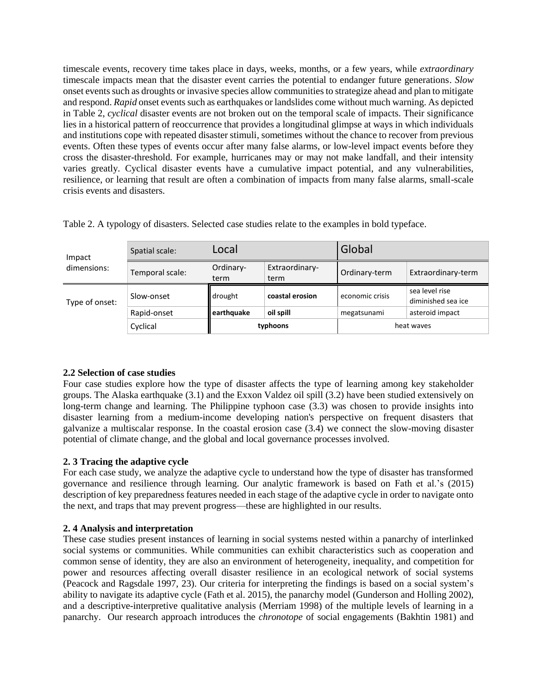timescale events, recovery time takes place in days, weeks, months, or a few years, while *extraordinary* timescale impacts mean that the disaster event carries the potential to endanger future generations. *Slow*  onset events such as droughts or invasive species allow communities to strategize ahead and plan to mitigate and respond. *Rapid* onset events such as earthquakes or landslides come without much warning. As depicted in Table 2, *cyclical* disaster events are not broken out on the temporal scale of impacts. Their significance lies in a historical pattern of reoccurrence that provides a longitudinal glimpse at ways in which individuals and institutions cope with repeated disaster stimuli, sometimes without the chance to recover from previous events. Often these types of events occur after many false alarms, or low-level impact events before they cross the disaster-threshold. For example, hurricanes may or may not make landfall, and their intensity varies greatly. Cyclical disaster events have a cumulative impact potential, and any vulnerabilities, resilience, or learning that result are often a combination of impacts from many false alarms, small-scale crisis events and disasters.

| Impact<br>dimensions: | Spatial scale:  | Local             |                        | Global          |                                      |
|-----------------------|-----------------|-------------------|------------------------|-----------------|--------------------------------------|
|                       | Temporal scale: | Ordinary-<br>term | Extraordinary-<br>term | Ordinary-term   | Extraordinary-term                   |
| Type of onset:        | Slow-onset      | drought           | coastal erosion        | economic crisis | sea level rise<br>diminished sea ice |
|                       | Rapid-onset     | earthquake        | oil spill              | megatsunami     | asteroid impact                      |
|                       | Cyclical        | typhoons          |                        | heat waves      |                                      |

Table 2. A typology of disasters. Selected case studies relate to the examples in bold typeface.

# **2.2 Selection of case studies**

Four case studies explore how the type of disaster affects the type of learning among key stakeholder groups. The Alaska earthquake (3.1) and the Exxon Valdez oil spill (3.2) have been studied extensively on long-term change and learning. The Philippine typhoon case  $(3.3)$  was chosen to provide insights into disaster learning from a medium-income developing nation's perspective on frequent disasters that galvanize a multiscalar response. In the coastal erosion case (3.4) we connect the slow-moving disaster potential of climate change, and the global and local governance processes involved.

# **2. 3 Tracing the adaptive cycle**

For each case study, we analyze the adaptive cycle to understand how the type of disaster has transformed governance and resilience through learning. Our analytic framework is based on Fath et al.'s (2015) description of key preparedness features needed in each stage of the adaptive cycle in order to navigate onto the next, and traps that may prevent progress—these are highlighted in our results.

# **2. 4 Analysis and interpretation**

These case studies present instances of learning in social systems nested within a panarchy of interlinked social systems or communities. While communities can exhibit characteristics such as cooperation and common sense of identity, they are also an environment of heterogeneity, inequality, and competition for power and resources affecting overall disaster resilience in an ecological network of social systems (Peacock and Ragsdale 1997, 23). Our criteria for interpreting the findings is based on a social system's ability to navigate its adaptive cycle (Fath et al. 2015), the panarchy model (Gunderson and Holling 2002), and a descriptive-interpretive qualitative analysis (Merriam 1998) of the multiple levels of learning in a panarchy. Our research approach introduces the *chronotope* of social engagements (Bakhtin 1981) and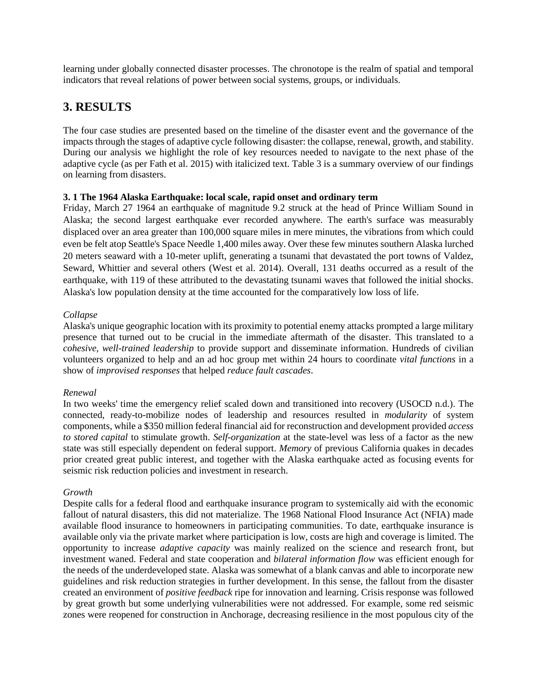learning under globally connected disaster processes. The chronotope is the realm of spatial and temporal indicators that reveal relations of power between social systems, groups, or individuals.

# **3. RESULTS**

The four case studies are presented based on the timeline of the disaster event and the governance of the impacts through the stages of adaptive cycle following disaster: the collapse, renewal, growth, and stability. During our analysis we highlight the role of key resources needed to navigate to the next phase of the adaptive cycle (as per Fath et al. 2015) with italicized text. Table 3 is a summary overview of our findings on learning from disasters.

# **3. 1 The 1964 Alaska Earthquake: local scale, rapid onset and ordinary term**

Friday, March 27 1964 an earthquake of magnitude 9.2 struck at the head of Prince William Sound in Alaska; the second largest earthquake ever recorded anywhere. The earth's surface was measurably displaced over an area greater than 100,000 square miles in mere minutes, the vibrations from which could even be felt atop Seattle's Space Needle 1,400 miles away. Over these few minutes southern Alaska lurched 20 meters seaward with a 10-meter uplift, generating a tsunami that devastated the port towns of Valdez, Seward, Whittier and several others (West et al. 2014). Overall, 131 deaths occurred as a result of the earthquake, with 119 of these attributed to the devastating tsunami waves that followed the initial shocks. Alaska's low population density at the time accounted for the comparatively low loss of life.

## *Collapse*

Alaska's unique geographic location with its proximity to potential enemy attacks prompted a large military presence that turned out to be crucial in the immediate aftermath of the disaster. This translated to a *cohesive, well-trained leadership* to provide support and disseminate information. Hundreds of civilian volunteers organized to help and an ad hoc group met within 24 hours to coordinate *vital functions* in a show of *improvised responses* that helped *reduce fault cascades*.

### *Renewal*

In two weeks' time the emergency relief scaled down and transitioned into recovery (USOCD n.d.). The connected, ready-to-mobilize nodes of leadership and resources resulted in *modularity* of system components, while a \$350 million federal financial aid for reconstruction and development provided *access to stored capital* to stimulate growth. *Self-organization* at the state-level was less of a factor as the new state was still especially dependent on federal support. *Memory* of previous California quakes in decades prior created great public interest, and together with the Alaska earthquake acted as focusing events for seismic risk reduction policies and investment in research.

# *Growth*

Despite calls for a federal flood and earthquake insurance program to systemically aid with the economic fallout of natural disasters, this did not materialize. The 1968 National Flood Insurance Act (NFIA) made available flood insurance to homeowners in participating communities. To date, earthquake insurance is available only via the private market where participation is low, costs are high and coverage is limited. The opportunity to increase *adaptive capacity* was mainly realized on the science and research front, but investment waned. Federal and state cooperation and *bilateral information flow* was efficient enough for the needs of the underdeveloped state. Alaska was somewhat of a blank canvas and able to incorporate new guidelines and risk reduction strategies in further development. In this sense, the fallout from the disaster created an environment of *positive feedback* ripe for innovation and learning. Crisis response was followed by great growth but some underlying vulnerabilities were not addressed. For example, some red seismic zones were reopened for construction in Anchorage, decreasing resilience in the most populous city of the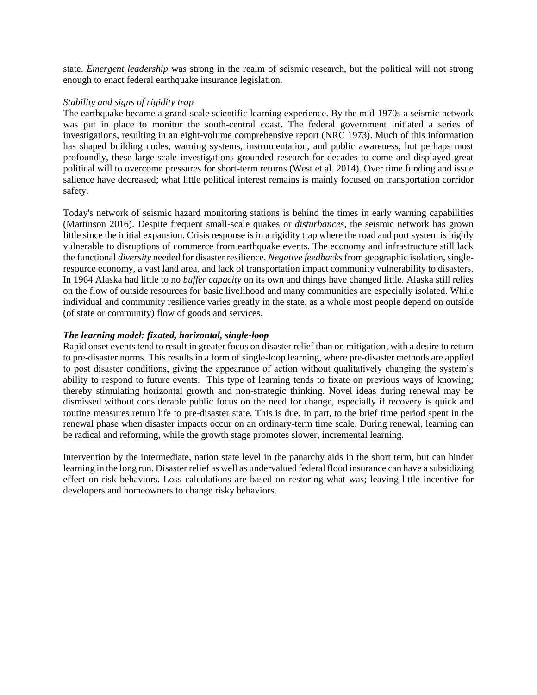state. *Emergent leadership* was strong in the realm of seismic research, but the political will not strong enough to enact federal earthquake insurance legislation.

## *Stability and signs of rigidity trap*

The earthquake became a grand-scale scientific learning experience. By the mid-1970s a seismic network was put in place to monitor the south-central coast. The federal government initiated a series of investigations, resulting in an eight-volume comprehensive report (NRC 1973). Much of this information has shaped building codes, warning systems, instrumentation, and public awareness, but perhaps most profoundly, these large-scale investigations grounded research for decades to come and displayed great political will to overcome pressures for short-term returns (West et al. 2014). Over time funding and issue salience have decreased; what little political interest remains is mainly focused on transportation corridor safety.

Today's network of seismic hazard monitoring stations is behind the times in early warning capabilities (Martinson 2016). Despite frequent small-scale quakes or *disturbances*, the seismic network has grown little since the initial expansion. Crisis response is in a rigidity trap where the road and port system is highly vulnerable to disruptions of commerce from earthquake events. The economy and infrastructure still lack the functional *diversity* needed for disaster resilience. *Negative feedbacks* from geographic isolation, singleresource economy, a vast land area, and lack of transportation impact community vulnerability to disasters. In 1964 Alaska had little to no *buffer capacity* on its own and things have changed little*.* Alaska still relies on the flow of outside resources for basic livelihood and many communities are especially isolated. While individual and community resilience varies greatly in the state, as a whole most people depend on outside (of state or community) flow of goods and services.

# *The learning model: fixated, horizontal, single-loop*

Rapid onset events tend to result in greater focus on disaster relief than on mitigation, with a desire to return to pre-disaster norms. This results in a form of single-loop learning, where pre-disaster methods are applied to post disaster conditions, giving the appearance of action without qualitatively changing the system's ability to respond to future events. This type of learning tends to fixate on previous ways of knowing; thereby stimulating horizontal growth and non-strategic thinking. Novel ideas during renewal may be dismissed without considerable public focus on the need for change, especially if recovery is quick and routine measures return life to pre-disaster state. This is due, in part, to the brief time period spent in the renewal phase when disaster impacts occur on an ordinary-term time scale. During renewal, learning can be radical and reforming, while the growth stage promotes slower, incremental learning.

Intervention by the intermediate, nation state level in the panarchy aids in the short term, but can hinder learning in the long run. Disaster relief as well as undervalued federal flood insurance can have a subsidizing effect on risk behaviors. Loss calculations are based on restoring what was; leaving little incentive for developers and homeowners to change risky behaviors.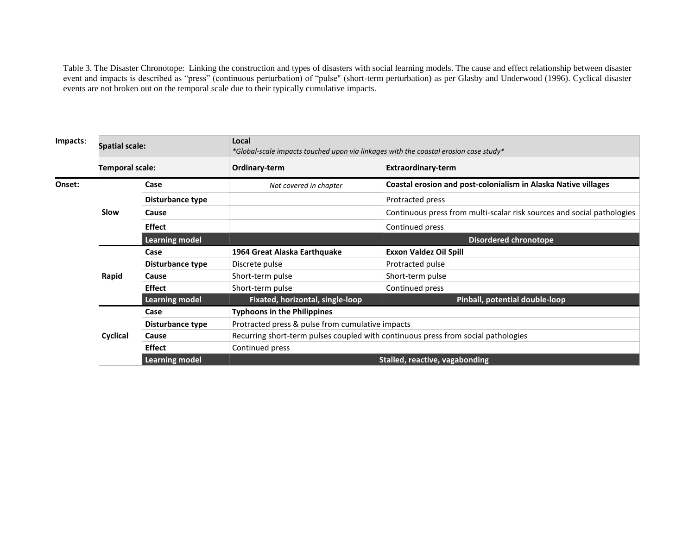Table 3. The Disaster Chronotope: Linking the construction and types of disasters with social learning models. The cause and effect relationship between disaster event and impacts is described as "press" (continuous perturbation) of "pulse" (short-term perturbation) as per Glasby and Underwood (1996). Cyclical disaster events are not broken out on the temporal scale due to their typically cumulative impacts.

| Impacts: | <b>Spatial scale:</b> |                       | Local<br>*Global-scale impacts touched upon via linkages with the coastal erosion case study* |                                                                        |  |
|----------|-----------------------|-----------------------|-----------------------------------------------------------------------------------------------|------------------------------------------------------------------------|--|
|          | Temporal scale:       |                       | Ordinary-term                                                                                 | <b>Extraordinary-term</b>                                              |  |
| Onset:   | Slow                  | Case                  | Not covered in chapter                                                                        | Coastal erosion and post-colonialism in Alaska Native villages         |  |
|          |                       | Disturbance type      |                                                                                               | Protracted press                                                       |  |
|          |                       | Cause                 |                                                                                               | Continuous press from multi-scalar risk sources and social pathologies |  |
|          |                       | <b>Effect</b>         |                                                                                               | Continued press                                                        |  |
|          |                       | <b>Learning model</b> |                                                                                               | <b>Disordered chronotope</b>                                           |  |
|          | Rapid                 | Case                  | 1964 Great Alaska Earthquake                                                                  | <b>Exxon Valdez Oil Spill</b>                                          |  |
|          |                       | Disturbance type      | Discrete pulse                                                                                | Protracted pulse                                                       |  |
|          |                       | Cause                 | Short-term pulse                                                                              | Short-term pulse                                                       |  |
|          |                       | <b>Effect</b>         | Short-term pulse                                                                              | Continued press                                                        |  |
|          |                       | <b>Learning model</b> | Fixated, horizontal, single-loop                                                              | Pinball, potential double-loop                                         |  |
|          |                       | Case                  | <b>Typhoons in the Philippines</b>                                                            |                                                                        |  |
|          |                       | Disturbance type      | Protracted press & pulse from cumulative impacts                                              |                                                                        |  |
|          | Cyclical              | Cause                 | Recurring short-term pulses coupled with continuous press from social pathologies             |                                                                        |  |
|          |                       | <b>Effect</b>         | Continued press                                                                               |                                                                        |  |
|          |                       | <b>Learning model</b> |                                                                                               | <b>Stalled, reactive, vagabonding</b>                                  |  |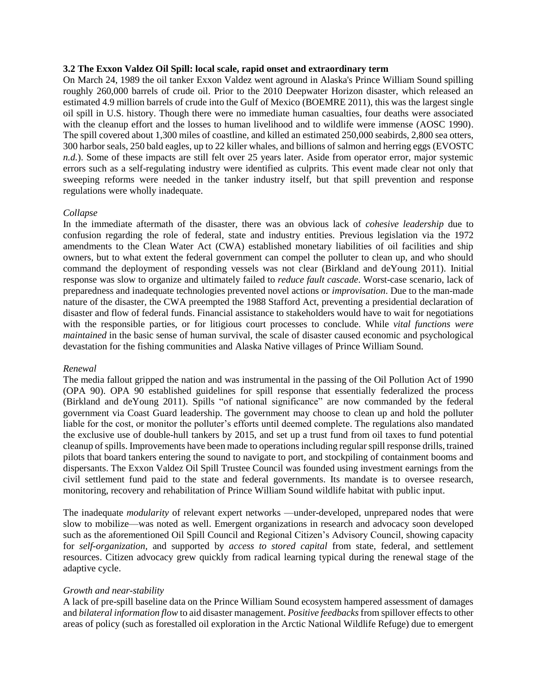### **3.2 The Exxon Valdez Oil Spill: local scale, rapid onset and extraordinary term**

On March 24, 1989 the oil tanker Exxon Valdez went aground in Alaska's Prince William Sound spilling roughly 260,000 barrels of crude oil. Prior to the 2010 Deepwater Horizon disaster, which released an estimated 4.9 million barrels of crude into the Gulf of Mexico (BOEMRE 2011), this was the largest single oil spill in U.S. history. Though there were no immediate human casualties, four deaths were associated with the cleanup effort and the losses to human livelihood and to wildlife were immense (AOSC 1990). The spill covered about 1,300 miles of coastline, and killed an estimated 250,000 seabirds, 2,800 sea otters, 300 harbor seals, 250 bald eagles, up to 22 killer whales, and billions of salmon and herring eggs (EVOSTC *n.d.*). Some of these impacts are still felt over 25 years later. Aside from operator error, major systemic errors such as a self-regulating industry were identified as culprits. This event made clear not only that sweeping reforms were needed in the tanker industry itself, but that spill prevention and response regulations were wholly inadequate.

#### *Collapse*

In the immediate aftermath of the disaster, there was an obvious lack of *cohesive leadership* due to confusion regarding the role of federal, state and industry entities. Previous legislation via the 1972 amendments to the Clean Water Act (CWA) established monetary liabilities of oil facilities and ship owners, but to what extent the federal government can compel the polluter to clean up, and who should command the deployment of responding vessels was not clear (Birkland and deYoung 2011). Initial response was slow to organize and ultimately failed to *reduce fault cascade*. Worst-case scenario, lack of preparedness and inadequate technologies prevented novel actions or *improvisation*. Due to the man-made nature of the disaster, the CWA preempted the 1988 Stafford Act, preventing a presidential declaration of disaster and flow of federal funds. Financial assistance to stakeholders would have to wait for negotiations with the responsible parties, or for litigious court processes to conclude. While *vital functions were maintained* in the basic sense of human survival, the scale of disaster caused economic and psychological devastation for the fishing communities and Alaska Native villages of Prince William Sound.

#### *Renewal*

The media fallout gripped the nation and was instrumental in the passing of the Oil Pollution Act of 1990 (OPA 90). OPA 90 established guidelines for spill response that essentially federalized the process (Birkland and deYoung 2011). Spills "of national significance" are now commanded by the federal government via Coast Guard leadership. The government may choose to clean up and hold the polluter liable for the cost, or monitor the polluter's efforts until deemed complete. The regulations also mandated the exclusive use of double-hull tankers by 2015, and set up a trust fund from oil taxes to fund potential cleanup of spills. Improvements have been made to operations including regular spill response drills, trained pilots that board tankers entering the sound to navigate to port, and stockpiling of containment booms and dispersants. The Exxon Valdez Oil Spill Trustee Council was founded using investment earnings from the civil settlement fund paid to the state and federal governments. Its mandate is to oversee research, monitoring, recovery and rehabilitation of Prince William Sound wildlife habitat with public input.

The inadequate *modularity* of relevant expert networks —under-developed, unprepared nodes that were slow to mobilize—was noted as well. Emergent organizations in research and advocacy soon developed such as the aforementioned Oil Spill Council and Regional Citizen's Advisory Council, showing capacity for *self-organization,* and supported by *access to stored capital* from state, federal, and settlement resources. Citizen advocacy grew quickly from radical learning typical during the renewal stage of the adaptive cycle.

### *Growth and near-stability*

A lack of pre-spill baseline data on the Prince William Sound ecosystem hampered assessment of damages and *bilateral information flow* to aid disaster management. *Positive feedbacks*from spillover effects to other areas of policy (such as forestalled oil exploration in the Arctic National Wildlife Refuge) due to emergent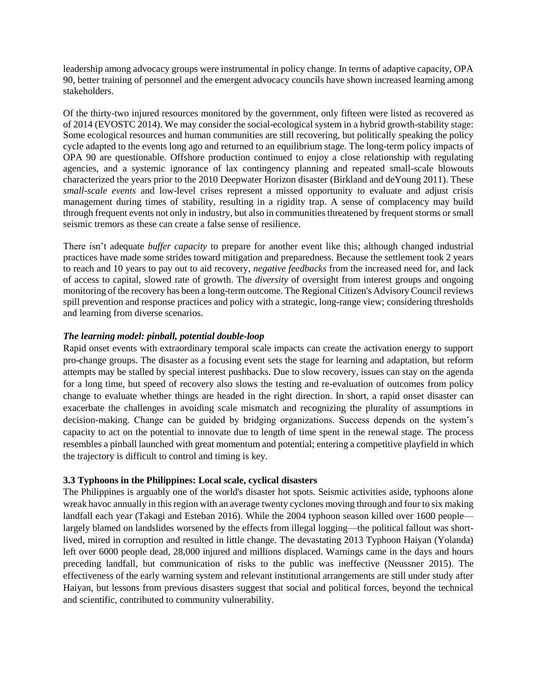leadership among advocacy groups were instrumental in policy change. In terms of adaptive capacity, OPA 90, better training of personnel and the emergent advocacy councils have shown increased learning among stakeholders.

Of the thirty-two injured resources monitored by the government, only fifteen were listed as recovered as of 2014 (EVOSTC 2014). We may consider the social-ecological system in a hybrid growth-stability stage: Some ecological resources and human communities are still recovering, but politically speaking the policy cycle adapted to the events long ago and returned to an equilibrium stage. The long-term policy impacts of OPA 90 are questionable. Offshore production continued to enjoy a close relationship with regulating agencies, and a systemic ignorance of lax contingency planning and repeated small-scale blowouts characterized the years prior to the 2010 Deepwater Horizon disaster (Birkland and deYoung 2011). These *small-scale events* and low-level crises represent a missed opportunity to evaluate and adjust crisis management during times of stability, resulting in a rigidity trap. A sense of complacency may build through frequent events not only in industry, but also in communities threatened by frequent storms or small seismic tremors as these can create a false sense of resilience.

There isn't adequate *buffer capacity* to prepare for another event like this; although changed industrial practices have made some strides toward mitigation and preparedness. Because the settlement took 2 years to reach and 10 years to pay out to aid recovery, *negative feedbacks* from the increased need for, and lack of access to capital, slowed rate of growth. The *diversity* of oversight from interest groups and ongoing monitoring of the recovery has been a long-term outcome. The Regional Citizen's Advisory Council reviews spill prevention and response practices and policy with a strategic, long-range view; considering thresholds and learning from diverse scenarios.

# *The learning model: pinball, potential double-loop*

Rapid onset events with extraordinary temporal scale impacts can create the activation energy to support pro-change groups. The disaster as a focusing event sets the stage for learning and adaptation, but reform attempts may be stalled by special interest pushbacks. Due to slow recovery, issues can stay on the agenda for a long time, but speed of recovery also slows the testing and re-evaluation of outcomes from policy change to evaluate whether things are headed in the right direction. In short, a rapid onset disaster can exacerbate the challenges in avoiding scale mismatch and recognizing the plurality of assumptions in decision-making. Change can be guided by bridging organizations. Success depends on the system's capacity to act on the potential to innovate due to length of time spent in the renewal stage. The process resembles a pinball launched with great momentum and potential; entering a competitive playfield in which the trajectory is difficult to control and timing is key.

# **3.3 Typhoons in the Philippines: Local scale, cyclical disasters**

The Philippines is arguably one of the world's disaster hot spots. Seismic activities aside, typhoons alone wreak havoc annually in this region with an average twenty cyclones moving through and four to six making landfall each year (Takagi and Esteban 2016). While the 2004 typhoon season killed over 1600 people largely blamed on landslides worsened by the effects from illegal logging—the political fallout was shortlived, mired in corruption and resulted in little change. The devastating 2013 Typhoon Haiyan (Yolanda) left over 6000 people dead, 28,000 injured and millions displaced. Warnings came in the days and hours preceding landfall, but communication of risks to the public was ineffective (Neussner 2015). The effectiveness of the early warning system and relevant institutional arrangements are still under study after Haiyan, but lessons from previous disasters suggest that social and political forces, beyond the technical and scientific, contributed to community vulnerability.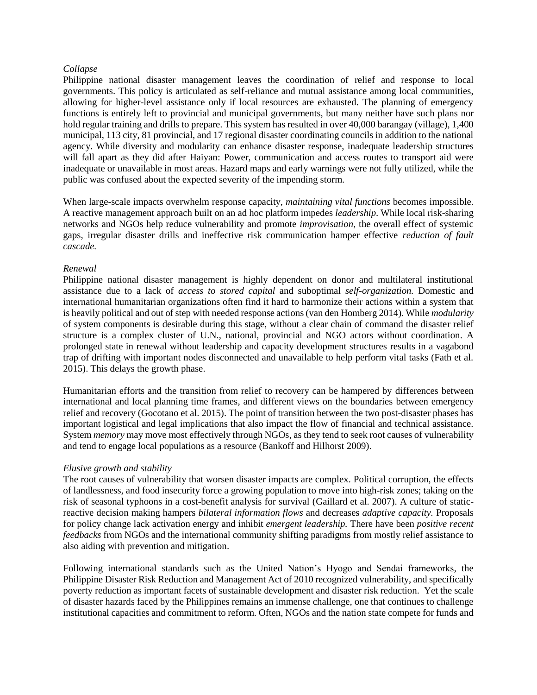### *Collapse*

Philippine national disaster management leaves the coordination of relief and response to local governments. This policy is articulated as self-reliance and mutual assistance among local communities, allowing for higher-level assistance only if local resources are exhausted. The planning of emergency functions is entirely left to provincial and municipal governments, but many neither have such plans nor hold regular training and drills to prepare. This system has resulted in over 40,000 barangay (village), 1,400 municipal, 113 city, 81 provincial, and 17 regional disaster coordinating councils in addition to the national agency. While diversity and modularity can enhance disaster response, inadequate leadership structures will fall apart as they did after Haiyan: Power, communication and access routes to transport aid were inadequate or unavailable in most areas. Hazard maps and early warnings were not fully utilized, while the public was confused about the expected severity of the impending storm.

When large-scale impacts overwhelm response capacity, *maintaining vital functions* becomes impossible. A reactive management approach built on an ad hoc platform impedes *leadership*. While local risk-sharing networks and NGOs help reduce vulnerability and promote *improvisation,* the overall effect of systemic gaps, irregular disaster drills and ineffective risk communication hamper effective *reduction of fault cascade.*

## *Renewal*

Philippine national disaster management is highly dependent on donor and multilateral institutional assistance due to a lack of *access to stored capital* and suboptimal *self-organization.* Domestic and international humanitarian organizations often find it hard to harmonize their actions within a system that is heavily political and out of step with needed response actions (van den Homberg 2014). While *modularity*  of system components is desirable during this stage, without a clear chain of command the disaster relief structure is a complex cluster of U.N., national, provincial and NGO actors without coordination. A prolonged state in renewal without leadership and capacity development structures results in a vagabond trap of drifting with important nodes disconnected and unavailable to help perform vital tasks (Fath et al. 2015). This delays the growth phase.

Humanitarian efforts and the transition from relief to recovery can be hampered by differences between international and local planning time frames, and different views on the boundaries between emergency relief and recovery (Gocotano et al. 2015). The point of transition between the two post-disaster phases has important logistical and legal implications that also impact the flow of financial and technical assistance. System *memory* may move most effectively through NGOs, as they tend to seek root causes of vulnerability and tend to engage local populations as a resource (Bankoff and Hilhorst 2009).

# *Elusive growth and stability*

The root causes of vulnerability that worsen disaster impacts are complex. Political corruption, the effects of landlessness, and food insecurity force a growing population to move into high-risk zones; taking on the risk of seasonal typhoons in a cost-benefit analysis for survival (Gaillard et al. 2007). A culture of staticreactive decision making hampers *bilateral information flows* and decreases *adaptive capacity.* Proposals for policy change lack activation energy and inhibit *emergent leadership.* There have been *positive recent feedbacks* from NGOs and the international community shifting paradigms from mostly relief assistance to also aiding with prevention and mitigation.

Following international standards such as the United Nation's Hyogo and Sendai frameworks, the Philippine Disaster Risk Reduction and Management Act of 2010 recognized vulnerability, and specifically poverty reduction as important facets of sustainable development and disaster risk reduction. Yet the scale of disaster hazards faced by the Philippines remains an immense challenge, one that continues to challenge institutional capacities and commitment to reform. Often, NGOs and the nation state compete for funds and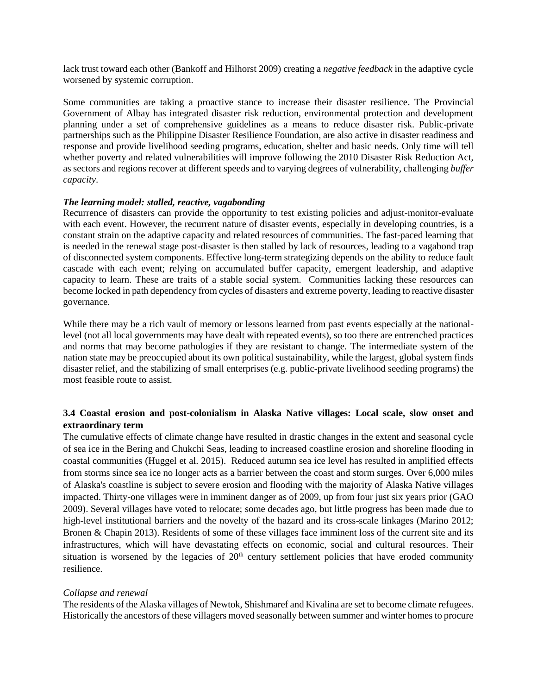lack trust toward each other (Bankoff and Hilhorst 2009) creating a *negative feedback* in the adaptive cycle worsened by systemic corruption.

Some communities are taking a proactive stance to increase their disaster resilience. The Provincial Government of Albay has integrated disaster risk reduction, environmental protection and development planning under a set of comprehensive guidelines as a means to reduce disaster risk. Public-private partnerships such as the Philippine Disaster Resilience Foundation, are also active in disaster readiness and response and provide livelihood seeding programs, education, shelter and basic needs. Only time will tell whether poverty and related vulnerabilities will improve following the 2010 Disaster Risk Reduction Act, as sectors and regions recover at different speeds and to varying degrees of vulnerability, challenging *buffer capacity*.

# *The learning model: stalled, reactive, vagabonding*

Recurrence of disasters can provide the opportunity to test existing policies and adjust-monitor-evaluate with each event. However, the recurrent nature of disaster events, especially in developing countries, is a constant strain on the adaptive capacity and related resources of communities. The fast-paced learning that is needed in the renewal stage post-disaster is then stalled by lack of resources, leading to a vagabond trap of disconnected system components. Effective long-term strategizing depends on the ability to reduce fault cascade with each event; relying on accumulated buffer capacity, emergent leadership, and adaptive capacity to learn. These are traits of a stable social system. Communities lacking these resources can become locked in path dependency from cycles of disasters and extreme poverty, leading to reactive disaster governance.

While there may be a rich vault of memory or lessons learned from past events especially at the nationallevel (not all local governments may have dealt with repeated events), so too there are entrenched practices and norms that may become pathologies if they are resistant to change. The intermediate system of the nation state may be preoccupied about its own political sustainability, while the largest, global system finds disaster relief, and the stabilizing of small enterprises (e.g. public-private livelihood seeding programs) the most feasible route to assist.

# **3.4 Coastal erosion and post-colonialism in Alaska Native villages: Local scale, slow onset and extraordinary term**

The cumulative effects of climate change have resulted in drastic changes in the extent and seasonal cycle of sea ice in the Bering and Chukchi Seas, leading to increased coastline erosion and shoreline flooding in coastal communities (Huggel et al. 2015). Reduced autumn sea ice level has resulted in amplified effects from storms since sea ice no longer acts as a barrier between the coast and storm surges. Over 6,000 miles of Alaska's coastline is subject to severe erosion and flooding with the majority of Alaska Native villages impacted. Thirty-one villages were in imminent danger as of 2009, up from four just six years prior (GAO 2009). Several villages have voted to relocate; some decades ago, but little progress has been made due to high-level institutional barriers and the novelty of the hazard and its cross-scale linkages (Marino 2012; Bronen & Chapin 2013). Residents of some of these villages face imminent loss of the current site and its infrastructures, which will have devastating effects on economic, social and cultural resources. Their situation is worsened by the legacies of  $20<sup>th</sup>$  century settlement policies that have eroded community resilience.

# *Collapse and renewal*

The residents of the Alaska villages of Newtok, Shishmaref and Kivalina are set to become climate refugees. Historically the ancestors of these villagers moved seasonally between summer and winter homes to procure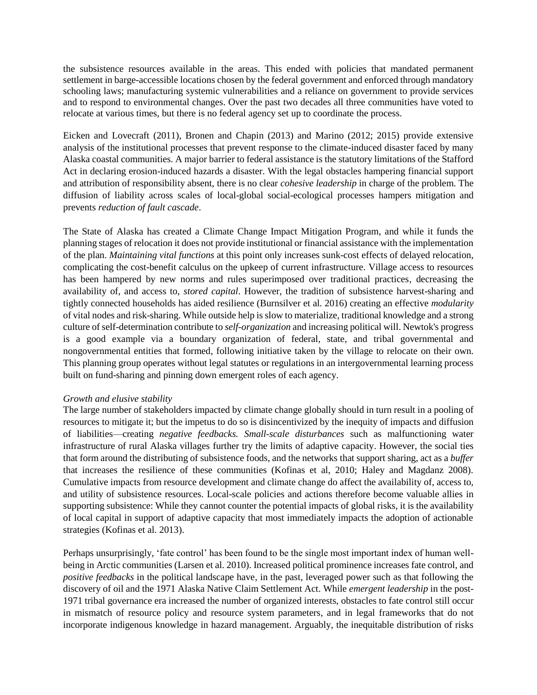the subsistence resources available in the areas. This ended with policies that mandated permanent settlement in barge-accessible locations chosen by the federal government and enforced through mandatory schooling laws; manufacturing systemic vulnerabilities and a reliance on government to provide services and to respond to environmental changes. Over the past two decades all three communities have voted to relocate at various times, but there is no federal agency set up to coordinate the process.

Eicken and Lovecraft (2011), Bronen and Chapin (2013) and Marino (2012; 2015) provide extensive analysis of the institutional processes that prevent response to the climate-induced disaster faced by many Alaska coastal communities. A major barrier to federal assistance is the statutory limitations of the Stafford Act in declaring erosion-induced hazards a disaster. With the legal obstacles hampering financial support and attribution of responsibility absent, there is no clear *cohesive leadership* in charge of the problem. The diffusion of liability across scales of local-global social-ecological processes hampers mitigation and prevents *reduction of fault cascade*.

The State of Alaska has created a Climate Change Impact Mitigation Program, and while it funds the planning stages of relocation it does not provide institutional or financial assistance with the implementation of the plan. *Maintaining vital functions* at this point only increases sunk-cost effects of delayed relocation, complicating the cost-benefit calculus on the upkeep of current infrastructure. Village access to resources has been hampered by new norms and rules superimposed over traditional practices, decreasing the availability of, and access to, *stored capital*. However, the tradition of subsistence harvest-sharing and tightly connected households has aided resilience (Burnsilver et al*.* 2016) creating an effective *modularity*  of vital nodes and risk-sharing. While outside help is slow to materialize, traditional knowledge and a strong culture of self-determination contribute to *self-organization* and increasing political will. Newtok's progress is a good example via a boundary organization of federal, state, and tribal governmental and nongovernmental entities that formed, following initiative taken by the village to relocate on their own. This planning group operates without legal statutes or regulations in an intergovernmental learning process built on fund-sharing and pinning down emergent roles of each agency.

### *Growth and elusive stability*

The large number of stakeholders impacted by climate change globally should in turn result in a pooling of resources to mitigate it; but the impetus to do so is disincentivized by the inequity of impacts and diffusion of liabilities—creating *negative feedbacks. Small-scale disturbances* such as malfunctioning water infrastructure of rural Alaska villages further try the limits of adaptive capacity. However, the social ties that form around the distributing of subsistence foods, and the networks that support sharing, act as a *buffer*  that increases the resilience of these communities (Kofinas et al, 2010; Haley and Magdanz 2008). Cumulative impacts from resource development and climate change do affect the availability of, access to, and utility of subsistence resources. Local-scale policies and actions therefore become valuable allies in supporting subsistence: While they cannot counter the potential impacts of global risks, it is the availability of local capital in support of adaptive capacity that most immediately impacts the adoption of actionable strategies (Kofinas et al. 2013).

Perhaps unsurprisingly, 'fate control' has been found to be the single most important index of human wellbeing in Arctic communities (Larsen et al. 2010). Increased political prominence increases fate control, and *positive feedbacks* in the political landscape have, in the past, leveraged power such as that following the discovery of oil and the 1971 Alaska Native Claim Settlement Act. While *emergent leadership* in the post-1971 tribal governance era increased the number of organized interests, obstacles to fate control still occur in mismatch of resource policy and resource system parameters, and in legal frameworks that do not incorporate indigenous knowledge in hazard management. Arguably, the inequitable distribution of risks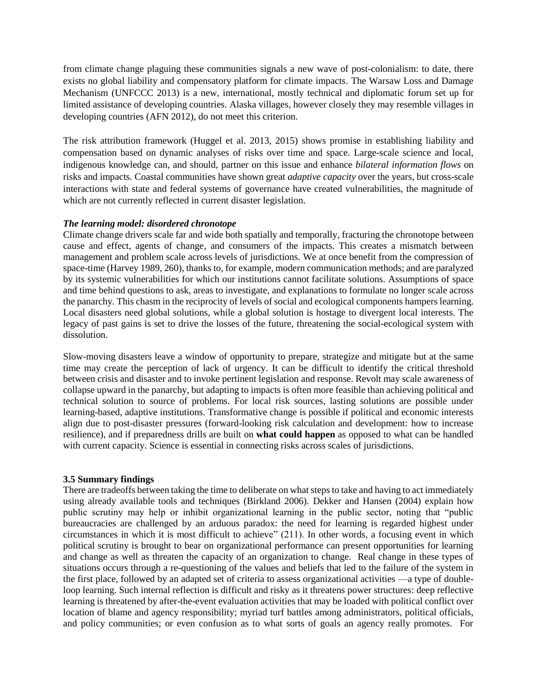from climate change plaguing these communities signals a new wave of post-colonialism: to date, there exists no global liability and compensatory platform for climate impacts. The Warsaw Loss and Damage Mechanism (UNFCCC 2013) is a new, international, mostly technical and diplomatic forum set up for limited assistance of developing countries. Alaska villages, however closely they may resemble villages in developing countries (AFN 2012), do not meet this criterion.

The risk attribution framework (Huggel et al. 2013, 2015) shows promise in establishing liability and compensation based on dynamic analyses of risks over time and space. Large-scale science and local, indigenous knowledge can, and should, partner on this issue and enhance *bilateral information flows* on risks and impacts*.* Coastal communities have shown great *adaptive capacity* over the years, but cross-scale interactions with state and federal systems of governance have created vulnerabilities, the magnitude of which are not currently reflected in current disaster legislation.

## *The learning model: disordered chronotope*

Climate change drivers scale far and wide both spatially and temporally, fracturing the chronotope between cause and effect, agents of change, and consumers of the impacts. This creates a mismatch between management and problem scale across levels of jurisdictions. We at once benefit from the compression of space-time (Harvey 1989, 260), thanks to, for example, modern communication methods; and are paralyzed by its systemic vulnerabilities for which our institutions cannot facilitate solutions. Assumptions of space and time behind questions to ask, areas to investigate, and explanations to formulate no longer scale across the panarchy. This chasm in the reciprocity of levels of social and ecological components hampers learning. Local disasters need global solutions, while a global solution is hostage to divergent local interests. The legacy of past gains is set to drive the losses of the future, threatening the social-ecological system with dissolution.

Slow-moving disasters leave a window of opportunity to prepare, strategize and mitigate but at the same time may create the perception of lack of urgency. It can be difficult to identify the critical threshold between crisis and disaster and to invoke pertinent legislation and response. Revolt may scale awareness of collapse upward in the panarchy, but adapting to impacts is often more feasible than achieving political and technical solution to source of problems. For local risk sources, lasting solutions are possible under learning-based, adaptive institutions. Transformative change is possible if political and economic interests align due to post-disaster pressures (forward-looking risk calculation and development: how to increase resilience), and if preparedness drills are built on **what could happen** as opposed to what can be handled with current capacity. Science is essential in connecting risks across scales of jurisdictions.

# **3.5 Summary findings**

There are tradeoffs between taking the time to deliberate on what steps to take and having to act immediately using already available tools and techniques (Birkland 2006). Dekker and Hansen (2004) explain how public scrutiny may help or inhibit organizational learning in the public sector, noting that "public bureaucracies are challenged by an arduous paradox: the need for learning is regarded highest under circumstances in which it is most difficult to achieve" (211). In other words, a focusing event in which political scrutiny is brought to bear on organizational performance can present opportunities for learning and change as well as threaten the capacity of an organization to change. Real change in these types of situations occurs through a re-questioning of the values and beliefs that led to the failure of the system in the first place, followed by an adapted set of criteria to assess organizational activities —a type of doubleloop learning. Such internal reflection is difficult and risky as it threatens power structures: deep reflective learning is threatened by after-the-event evaluation activities that may be loaded with political conflict over location of blame and agency responsibility; myriad turf battles among administrators, political officials, and policy communities; or even confusion as to what sorts of goals an agency really promotes. For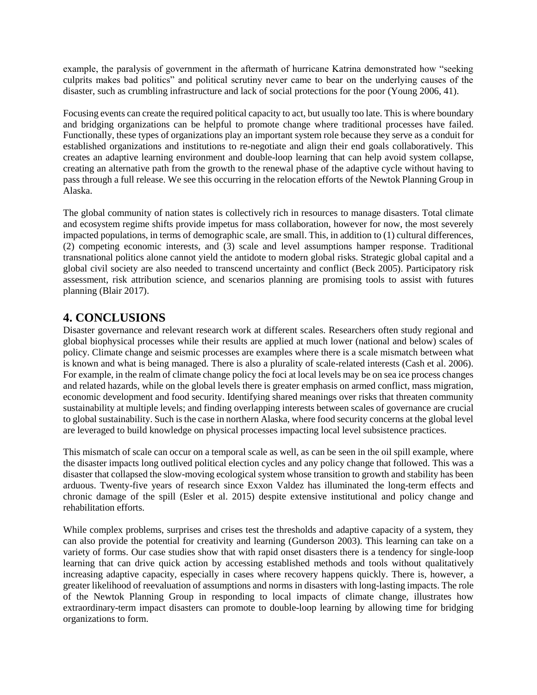example, the paralysis of government in the aftermath of hurricane Katrina demonstrated how "seeking culprits makes bad politics" and political scrutiny never came to bear on the underlying causes of the disaster, such as crumbling infrastructure and lack of social protections for the poor (Young 2006, 41).

Focusing events can create the required political capacity to act, but usually too late. This is where boundary and bridging organizations can be helpful to promote change where traditional processes have failed. Functionally, these types of organizations play an important system role because they serve as a conduit for established organizations and institutions to re-negotiate and align their end goals collaboratively. This creates an adaptive learning environment and double-loop learning that can help avoid system collapse, creating an alternative path from the growth to the renewal phase of the adaptive cycle without having to pass through a full release. We see this occurring in the relocation efforts of the Newtok Planning Group in Alaska.

The global community of nation states is collectively rich in resources to manage disasters. Total climate and ecosystem regime shifts provide impetus for mass collaboration, however for now, the most severely impacted populations, in terms of demographic scale, are small. This, in addition to (1) cultural differences, (2) competing economic interests, and (3) scale and level assumptions hamper response. Traditional transnational politics alone cannot yield the antidote to modern global risks. Strategic global capital and a global civil society are also needed to transcend uncertainty and conflict (Beck 2005). Participatory risk assessment, risk attribution science, and scenarios planning are promising tools to assist with futures planning (Blair 2017).

# **4. CONCLUSIONS**

Disaster governance and relevant research work at different scales. Researchers often study regional and global biophysical processes while their results are applied at much lower (national and below) scales of policy. Climate change and seismic processes are examples where there is a scale mismatch between what is known and what is being managed. There is also a plurality of scale-related interests (Cash et al. 2006). For example, in the realm of climate change policy the foci at local levels may be on sea ice process changes and related hazards, while on the global levels there is greater emphasis on armed conflict, mass migration, economic development and food security. Identifying shared meanings over risks that threaten community sustainability at multiple levels; and finding overlapping interests between scales of governance are crucial to global sustainability. Such is the case in northern Alaska, where food security concerns at the global level are leveraged to build knowledge on physical processes impacting local level subsistence practices.

This mismatch of scale can occur on a temporal scale as well, as can be seen in the oil spill example, where the disaster impacts long outlived political election cycles and any policy change that followed. This was a disaster that collapsed the slow-moving ecological system whose transition to growth and stability has been arduous. Twenty-five years of research since Exxon Valdez has illuminated the long-term effects and chronic damage of the spill (Esler et al. 2015) despite extensive institutional and policy change and rehabilitation efforts.

While complex problems, surprises and crises test the thresholds and adaptive capacity of a system, they can also provide the potential for creativity and learning (Gunderson 2003). This learning can take on a variety of forms. Our case studies show that with rapid onset disasters there is a tendency for single-loop learning that can drive quick action by accessing established methods and tools without qualitatively increasing adaptive capacity, especially in cases where recovery happens quickly. There is, however, a greater likelihood of reevaluation of assumptions and norms in disasters with long-lasting impacts. The role of the Newtok Planning Group in responding to local impacts of climate change, illustrates how extraordinary-term impact disasters can promote to double-loop learning by allowing time for bridging organizations to form.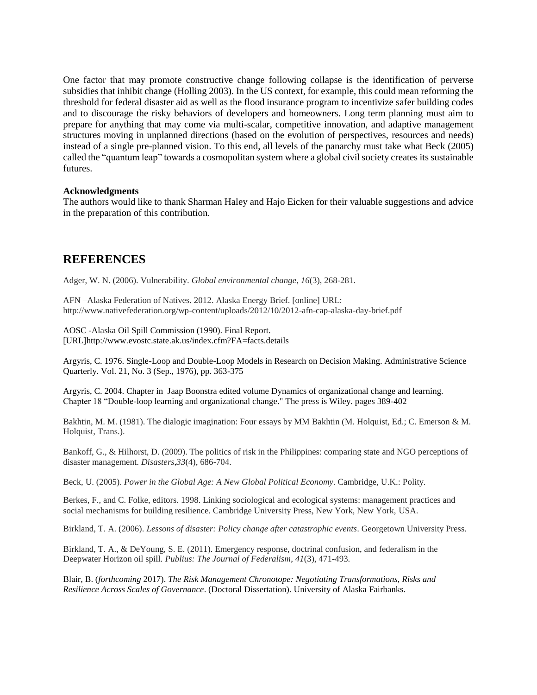One factor that may promote constructive change following collapse is the identification of perverse subsidies that inhibit change (Holling 2003). In the US context, for example, this could mean reforming the threshold for federal disaster aid as well as the flood insurance program to incentivize safer building codes and to discourage the risky behaviors of developers and homeowners. Long term planning must aim to prepare for anything that may come via multi-scalar, competitive innovation, and adaptive management structures moving in unplanned directions (based on the evolution of perspectives, resources and needs) instead of a single pre-planned vision. To this end, all levels of the panarchy must take what Beck (2005) called the "quantum leap" towards a cosmopolitan system where a global civil society creates its sustainable futures.

## **Acknowledgments**

The authors would like to thank Sharman Haley and Hajo Eicken for their valuable suggestions and advice in the preparation of this contribution.

# **REFERENCES**

Adger, W. N. (2006). Vulnerability. *Global environmental change*, *16*(3), 268-281.

AFN –Alaska Federation of Natives. 2012. Alaska Energy Brief. [online] URL: http://www.nativefederation.org/wp-content/uploads/2012/10/2012-afn-cap-alaska-day-brief.pdf

AOSC -Alaska Oil Spill Commission (1990). Final Report. [URL]http://www.evostc.state.ak.us/index.cfm?FA=facts.details

Argyris, C. 1976. Single-Loop and Double-Loop Models in Research on Decision Making. Administrative Science Quarterly. Vol. 21, No. 3 (Sep., 1976), pp. 363-375

Argyris, C. 2004. Chapter in Jaap Boonstra edited volume Dynamics of organizational change and learning. Chapter 18 "Double-loop learning and organizational change." The press is Wiley. pages 389-402

Bakhtin, M. M. (1981). The dialogic imagination: Four essays by MM Bakhtin (M. Holquist, Ed.; C. Emerson & M. Holquist, Trans.).

Bankoff, G., & Hilhorst, D. (2009). The politics of risk in the Philippines: comparing state and NGO perceptions of disaster management. *Disasters*,*33*(4), 686-704.

Beck, U. (2005). *Power in the Global Age: A New Global Political Economy*. Cambridge, U.K.: Polity.

Berkes, F., and C. Folke, editors. 1998. Linking sociological and ecological systems: management practices and social mechanisms for building resilience. Cambridge University Press, New York, New York, USA.

Birkland, T. A. (2006). *Lessons of disaster: Policy change after catastrophic events*. Georgetown University Press.

Birkland, T. A., & DeYoung, S. E. (2011). Emergency response, doctrinal confusion, and federalism in the Deepwater Horizon oil spill. *Publius: The Journal of Federalism*, *41*(3), 471-493.

Blair, B. (*forthcoming* 2017). *The Risk Management Chronotope: Negotiating Transformations, Risks and Resilience Across Scales of Governance*. (Doctoral Dissertation). University of Alaska Fairbanks.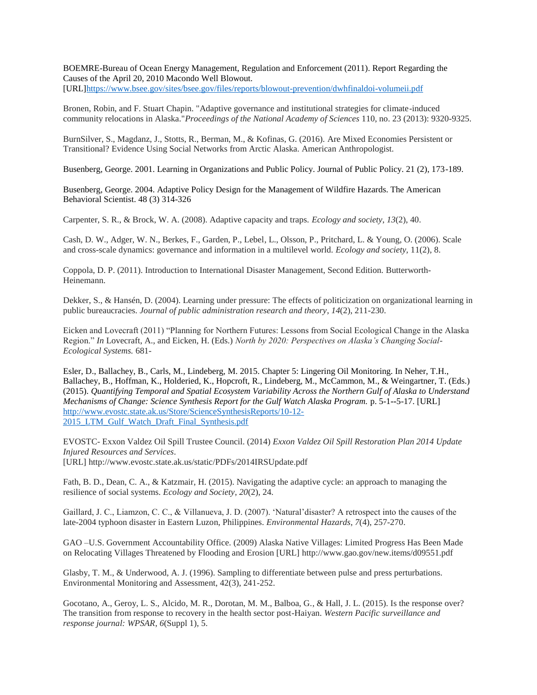BOEMRE-Bureau of Ocean Energy Management, Regulation and Enforcement (2011). Report Regarding the Causes of the April 20, 2010 Macondo Well Blowout.

[URL[\]https://www.bsee.gov/sites/bsee.gov/files/reports/blowout-prevention/dwhfinaldoi-volumeii.pdf](https://www.bsee.gov/sites/bsee.gov/files/reports/blowout-prevention/dwhfinaldoi-volumeii.pdf)

Bronen, Robin, and F. Stuart Chapin. "Adaptive governance and institutional strategies for climate-induced community relocations in Alaska."*Proceedings of the National Academy of Sciences* 110, no. 23 (2013): 9320-9325.

BurnSilver, S., Magdanz, J., Stotts, R., Berman, M., & Kofinas, G. (2016). Are Mixed Economies Persistent or Transitional? Evidence Using Social Networks from Arctic Alaska. American Anthropologist.

Busenberg, George. 2001. Learning in Organizations and Public Policy. Journal of Public Policy. 21 (2), 173-189.

Busenberg, George. 2004. Adaptive Policy Design for the Management of Wildfire Hazards. The American Behavioral Scientist. 48 (3) 314-326

Carpenter, S. R., & Brock, W. A. (2008). Adaptive capacity and traps. *Ecology and society*, *13*(2), 40.

Cash, D. W., Adger, W. N., Berkes, F., Garden, P., Lebel, L., Olsson, P., Pritchard, L. & Young, O. (2006). Scale and cross-scale dynamics: governance and information in a multilevel world. *Ecology and society,* 11(2), 8.

Coppola, D. P. (2011). Introduction to International Disaster Management, Second Edition. Butterworth-Heinemann.

Dekker, S., & Hansén, D. (2004). Learning under pressure: The effects of politicization on organizational learning in public bureaucracies. *Journal of public administration research and theory*, *14*(2), 211-230.

Eicken and Lovecraft (2011) "Planning for Northern Futures: Lessons from Social Ecological Change in the Alaska Region." *In* Lovecraft, A., and Eicken, H. (Eds.) *North by 2020: Perspectives on Alaska's Changing Social-Ecological Systems.* 681-

Esler, D., Ballachey, B., Carls, M., Lindeberg, M. 2015. Chapter 5: Lingering Oil Monitoring. In Neher, T.H., Ballachey, B., Hoffman, K., Holderied, K., Hopcroft, R., Lindeberg, M., McCammon, M., & Weingartner, T. (Eds.) (2015). *Quantifying Temporal and Spatial Ecosystem Variability Across the Northern Gulf of Alaska to Understand Mechanisms of Change: Science Synthesis Report for the Gulf Watch Alaska Program.* p. 5-1**--**5-17. [URL] [http://www.evostc.state.ak.us/Store/ScienceSynthesisReports/10-12-](http://www.evostc.state.ak.us/Store/ScienceSynthesisReports/10-12-2015_LTM_Gulf_Watch_Draft_Final_Synthesis.pdf) 2015 LTM Gulf Watch Draft Final Synthesis.pdf

EVOSTC- Exxon Valdez Oil Spill Trustee Council. (2014) *Exxon Valdez Oil Spill Restoration Plan 2014 Update Injured Resources and Services*. [URL] http://www.evostc.state.ak.us/static/PDFs/2014IRSUpdate.pdf

Fath, B. D., Dean, C. A., & Katzmair, H. (2015). Navigating the adaptive cycle: an approach to managing the resilience of social systems. *Ecology and Society*, *20*(2), 24.

Gaillard, J. C., Liamzon, C. C., & Villanueva, J. D. (2007). 'Natural'disaster? A retrospect into the causes of the late-2004 typhoon disaster in Eastern Luzon, Philippines. *Environmental Hazards*, *7*(4), 257-270.

GAO –U.S. Government Accountability Office. (2009) Alaska Native Villages: Limited Progress Has Been Made on Relocating Villages Threatened by Flooding and Erosion [URL] http://www.gao.gov/new.items/d09551.pdf

Glasby, T. M., & Underwood, A. J. (1996). Sampling to differentiate between pulse and press perturbations. Environmental Monitoring and Assessment, 42(3), 241-252.

Gocotano, A., Geroy, L. S., Alcido, M. R., Dorotan, M. M., Balboa, G., & Hall, J. L. (2015). Is the response over? The transition from response to recovery in the health sector post-Haiyan. *Western Pacific surveillance and response journal: WPSAR*, *6*(Suppl 1), 5.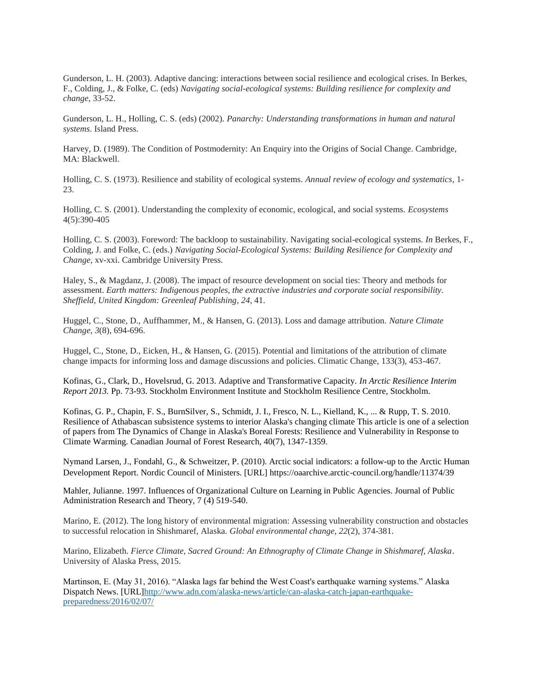Gunderson, L. H. (2003). Adaptive dancing: interactions between social resilience and ecological crises. In Berkes, F., Colding, J., & Folke, C. (eds) *Navigating social-ecological systems: Building resilience for complexity and change*, 33-52.

Gunderson, L. H., Holling, C. S. (eds) (2002). *Panarchy: Understanding transformations in human and natural systems*. Island Press.

Harvey, D. (1989). The Condition of Postmodernity: An Enquiry into the Origins of Social Change. Cambridge, MA: Blackwell.

Holling, C. S. (1973). Resilience and stability of ecological systems. *Annual review of ecology and systematics*, 1- 23.

Holling, C. S. (2001). Understanding the complexity of economic, ecological, and social systems. *Ecosystems* 4(5):390-405

Holling, C. S. (2003). Foreword: The backloop to sustainability. Navigating social-ecological systems. *In* Berkes, F., Colding, J. and Folke, C. (eds.) *Navigating Social-Ecological Systems: Building Resilience for Complexity and Change*, xv-xxi. Cambridge University Press.

Haley, S., & Magdanz, J. (2008). The impact of resource development on social ties: Theory and methods for assessment. *Earth matters: Indigenous peoples, the extractive industries and corporate social responsibility. Sheffield, United Kingdom: Greenleaf Publishing*, *24*, 41.

Huggel, C., Stone, D., Auffhammer, M., & Hansen, G. (2013). Loss and damage attribution. *Nature Climate Change*, *3*(8), 694-696.

Huggel, C., Stone, D., Eicken, H., & Hansen, G. (2015). Potential and limitations of the attribution of climate change impacts for informing loss and damage discussions and policies. Climatic Change, 133(3), 453-467.

Kofinas, G., Clark, D., Hovelsrud, G. 2013. Adaptive and Transformative Capacity. *In Arctic Resilience Interim Report 2013.* Pp. 73-93. Stockholm Environment Institute and Stockholm Resilience Centre, Stockholm.

Kofinas, G. P., Chapin, F. S., BurnSilver, S., Schmidt, J. I., Fresco, N. L., Kielland, K., ... & Rupp, T. S. 2010. Resilience of Athabascan subsistence systems to interior Alaska's changing climate This article is one of a selection of papers from The Dynamics of Change in Alaska's Boreal Forests: Resilience and Vulnerability in Response to Climate Warming. Canadian Journal of Forest Research, 40(7), 1347-1359.

Nymand Larsen, J., Fondahl, G., & Schweitzer, P. (2010). Arctic social indicators: a follow-up to the Arctic Human Development Report. Nordic Council of Ministers. [URL] https://oaarchive.arctic-council.org/handle/11374/39

Mahler, Julianne. 1997. Influences of Organizational Culture on Learning in Public Agencies. Journal of Public Administration Research and Theory, 7 (4) 519-540.

Marino, E. (2012). The long history of environmental migration: Assessing vulnerability construction and obstacles to successful relocation in Shishmaref, Alaska. *Global environmental change*, *22*(2), 374-381.

Marino, Elizabeth. *Fierce Climate, Sacred Ground: An Ethnography of Climate Change in Shishmaref, Alaska*. University of Alaska Press, 2015.

Martinson, E. (May 31, 2016). "Alaska lags far behind the West Coast's earthquake warning systems." Alaska Dispatch News. [URL[\]http://www.adn.com/alaska-news/article/can-alaska-catch-japan-earthquake](http://www.adn.com/alaska-news/article/can-alaska-catch-japan-earthquake-preparedness/2016/02/07/)[preparedness/2016/02/07/](http://www.adn.com/alaska-news/article/can-alaska-catch-japan-earthquake-preparedness/2016/02/07/)